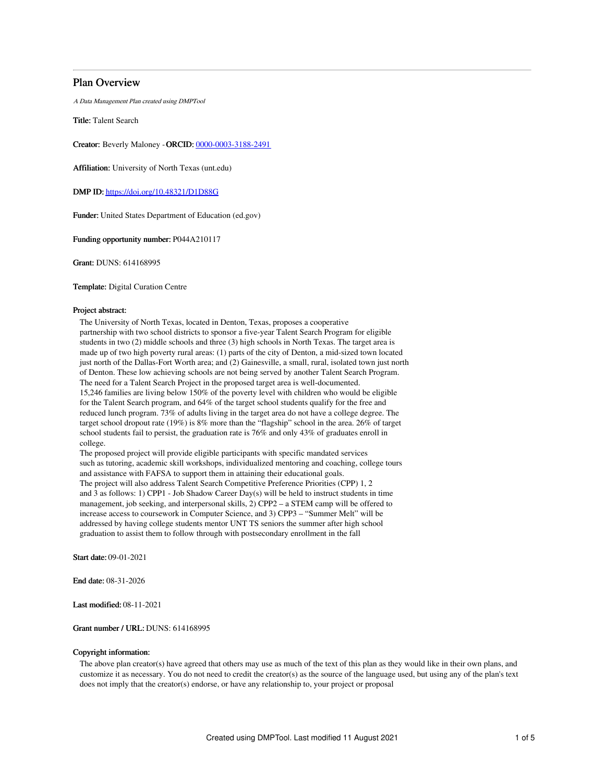## Plan Overview

A Data Management Plan created using DMPTool

Title: Talent Search

Creator: Beverly Maloney -ORCID: [0000-0003-3188-2491](https://orcid.org/0000-0003-3188-2491)

Affiliation: University of North Texas (unt.edu)

DMP ID: <https://doi.org/10.48321/D1D88G>

Funder: United States Department of Education (ed.gov)

Funding opportunity number: P044A210117

Grant: DUNS: 614168995

Template: Digital Curation Centre

## Project abstract:

The University of North Texas, located in Denton, Texas, proposes a cooperative partnership with two school districts to sponsor a five-year Talent Search Program for eligible students in two (2) middle schools and three (3) high schools in North Texas. The target area is made up of two high poverty rural areas: (1) parts of the city of Denton, a mid-sized town located just north of the Dallas-Fort Worth area; and (2) Gainesville, a small, rural, isolated town just north of Denton. These low achieving schools are not being served by another Talent Search Program. The need for a Talent Search Project in the proposed target area is well-documented. 15,246 families are living below 150% of the poverty level with children who would be eligible for the Talent Search program, and 64% of the target school students qualify for the free and reduced lunch program. 73% of adults living in the target area do not have a college degree. The target school dropout rate (19%) is 8% more than the "flagship" school in the area. 26% of target school students fail to persist, the graduation rate is 76% and only 43% of graduates enroll in college.

The proposed project will provide eligible participants with specific mandated services such as tutoring, academic skill workshops, individualized mentoring and coaching, college tours and assistance with FAFSA to support them in attaining their educational goals. The project will also address Talent Search Competitive Preference Priorities (CPP) 1, 2 and 3 as follows: 1) CPP1 - Job Shadow Career Day(s) will be held to instruct students in time management, job seeking, and interpersonal skills, 2) CPP2 – a STEM camp will be offered to increase access to coursework in Computer Science, and 3) CPP3 – "Summer Melt" will be addressed by having college students mentor UNT TS seniors the summer after high school graduation to assist them to follow through with postsecondary enrollment in the fall

Start date: 09-01-2021

End date: 08-31-2026

Last modified: 08-11-2021

### Grant number / URL: DUNS: 614168995

### Copyright information:

The above plan creator(s) have agreed that others may use as much of the text of this plan as they would like in their own plans, and customize it as necessary. You do not need to credit the creator(s) as the source of the language used, but using any of the plan's text does not imply that the creator(s) endorse, or have any relationship to, your project or proposal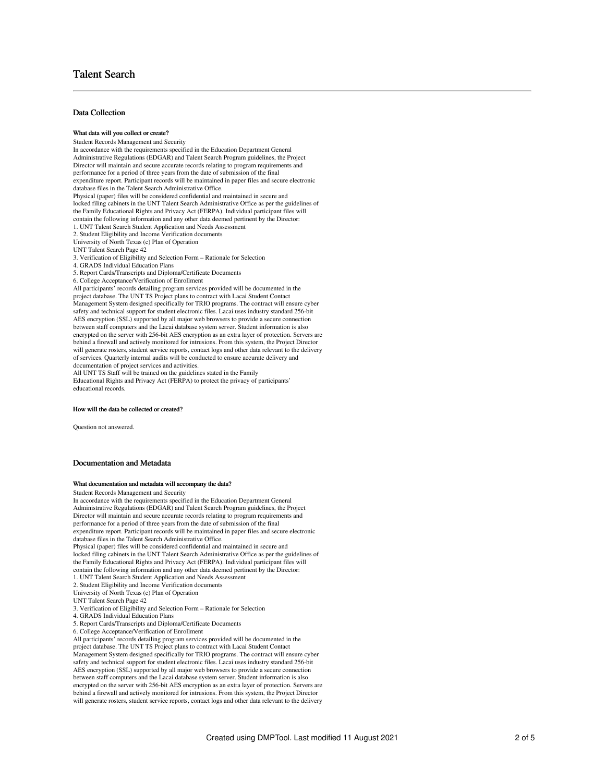## Talent Search

## Data Collection

#### What data will you collect or create?

Student Records Management and Security In accordance with the requirements specified in the Education Department General Administrative Regulations (EDGAR) and Talent Search Program guidelines, the Project Director will maintain and secure accurate records relating to program requirements and performance for a period of three years from the date of submission of the final expenditure report. Participant records will be maintained in paper files and secure electronic database files in the Talent Search Administrative Office. Physical (paper) files will be considered confidential and maintained in secure and locked filing cabinets in the UNT Talent Search Administrative Office as per the guidelines of the Family Educational Rights and Privacy Act (FERPA). Individual participant files will contain the following information and any other data deemed pertinent by the Director: 1. UNT Talent Search Student Application and Needs Assessment 2. Student Eligibility and Income Verification documents University of North Texas (c) Plan of Operation UNT Talent Search Page 42

3. Verification of Eligibility and Selection Form – Rationale for Selection

4. GRADS Individual Education Plans

5. Report Cards/Transcripts and Diploma/Certificate Documents

6. College Acceptance/Verification of Enrollment

All participants' records detailing program services provided will be documented in the project database. The UNT TS Project plans to contract with Lacai Student Contact Management System designed specifically for TRIO programs. The contract will ensure cyber safety and technical support for student electronic files. Lacai uses industry standard 256-bit AES encryption (SSL) supported by all major web browsers to provide a secure connection between staff computers and the Lacai database system server. Student information is also encrypted on the server with 256-bit AES encryption as an extra layer of protection. Servers are behind a firewall and actively monitored for intrusions. From this system, the Project Director will generate rosters, student service reports, contact logs and other data relevant to the delivery of services. Quarterly internal audits will be conducted to ensure accurate delivery and documentation of project services and activities. All UNT TS Staff will be trained on the guidelines stated in the Family

Educational Rights and Privacy Act (FERPA) to protect the privacy of participants' educational records.

#### How will the data be collected or created?

Question not answered.

### Documentation and Metadata

#### What documentation and metadata will accompany the data?

Student Records Management and Security

In accordance with the requirements specified in the Education Department General Administrative Regulations (EDGAR) and Talent Search Program guidelines, the Project Director will maintain and secure accurate records relating to program requirements and performance for a period of three years from the date of submission of the final expenditure report. Participant records will be maintained in paper files and secure electronic database files in the Talent Search Administrative Office. Physical (paper) files will be considered confidential and maintained in secure and locked filing cabinets in the UNT Talent Search Administrative Office as per the guidelines of the Family Educational Rights and Privacy Act (FERPA). Individual participant files will contain the following information and any other data deemed pertinent by the Director: 1. UNT Talent Search Student Application and Needs Assessment 2. Student Eligibility and Income Verification documents University of North Texas (c) Plan of Operation UNT Talent Search Page 42 3. Verification of Eligibility and Selection Form – Rationale for Selection 4. GRADS Individual Education Plans 5. Report Cards/Transcripts and Diploma/Certificate Documents 6. College Acceptance/Verification of Enrollment All participants' records detailing program services provided will be documented in the project database. The UNT TS Project plans to contract with Lacai Student Contact

Management System designed specifically for TRIO programs. The contract will ensure cyber safety and technical support for student electronic files. Lacai uses industry standard 256-bit AES encryption (SSL) supported by all major web browsers to provide a secure connection between staff computers and the Lacai database system server. Student information is also encrypted on the server with 256-bit AES encryption as an extra layer of protection. Servers are behind a firewall and actively monitored for intrusions. From this system, the Project Director will generate rosters, student service reports, contact logs and other data relevant to the delivery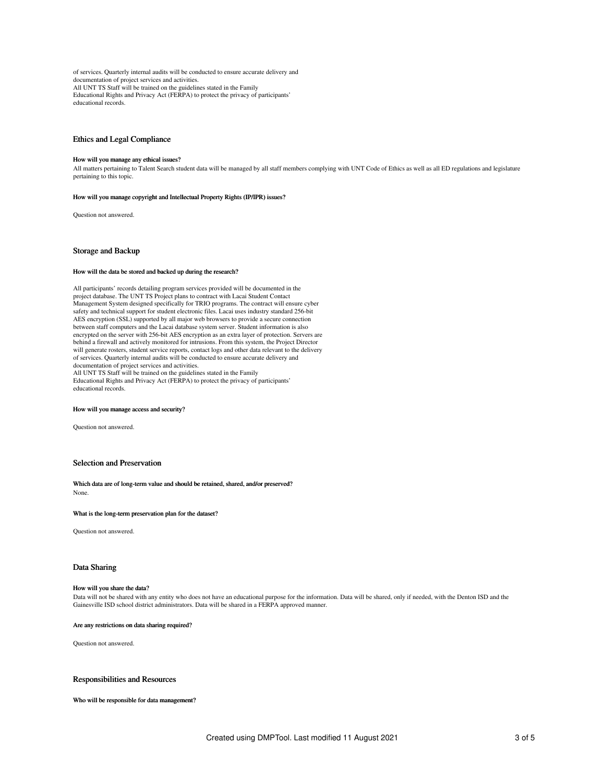of services. Quarterly internal audits will be conducted to ensure accurate delivery and documentation of project services and activities. All UNT TS Staff will be trained on the guidelines stated in the Family Educational Rights and Privacy Act (FERPA) to protect the privacy of participants' educational records.

### Ethics and Legal Compliance

#### How will you manage any ethical issues?

All matters pertaining to Talent Search student data will be managed by all staff members complying with UNT Code of Ethics as well as all ED regulations and legislature pertaining to this topic.

#### How will you manage copyright and Intellectual Property Rights (IP/IPR) issues?

Question not answered.

### Storage and Backup

## How will the data be stored and backed up during the research?

All participants' records detailing program services provided will be documented in the project database. The UNT TS Project plans to contract with Lacai Student Contact Management System designed specifically for TRIO programs. The contract will ensure cyber safety and technical support for student electronic files. Lacai uses industry standard 256-bit AES encryption (SSL) supported by all major web browsers to provide a secure connection between staff computers and the Lacai database system server. Student information is also encrypted on the server with 256-bit AES encryption as an extra layer of protection. Servers are behind a firewall and actively monitored for intrusions. From this system, the Project Director will generate rosters, student service reports, contact logs and other data relevant to the delivery of services. Quarterly internal audits will be conducted to ensure accurate delivery and documentation of project services and activities. All UNT TS Staff will be trained on the guidelines stated in the Family Educational Rights and Privacy Act (FERPA) to protect the privacy of participants' educational records.

#### How will you manage access and security?

Question not answered.

## Selection and Preservation

Which data are of long-term value and should be retained, shared, and/or preserved? None.

#### What is the long-term preservation plan for the dataset?

Question not answered.

### Data Sharing

#### How will you share the data?

Data will not be shared with any entity who does not have an educational purpose for the information. Data will be shared, only if needed, with the Denton ISD and the Gainesville ISD school district administrators. Data will be shared in a FERPA approved manner.

#### Are any restrictions on data sharing required?

Question not answered.

### Responsibilities and Resources

Who will be responsible for data management?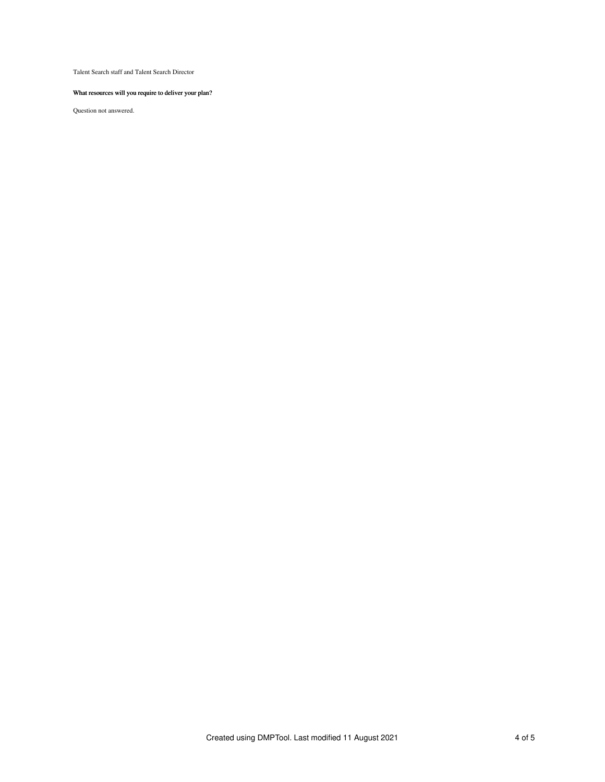Talent Search staff and Talent Search Director

## What resources will you require to deliver your plan?

Question not answered.